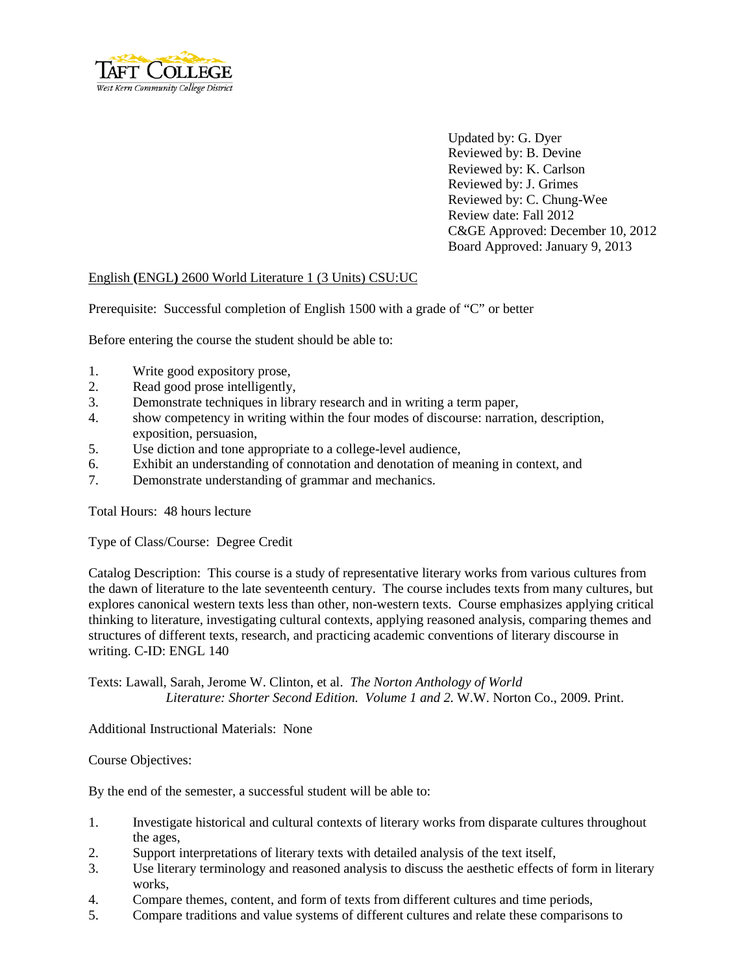

Updated by: G. Dyer Reviewed by: B. Devine Reviewed by: K. Carlson Reviewed by: J. Grimes Reviewed by: C. Chung-Wee Review date: Fall 2012 C&GE Approved: December 10, 2012 Board Approved: January 9, 2013

## English **(**ENGL**)** 2600 World Literature 1 (3 Units) CSU:UC

Prerequisite: Successful completion of English 1500 with a grade of "C" or better

Before entering the course the student should be able to:

- 1. Write good expository prose,
- 2. Read good prose intelligently,
- 3. Demonstrate techniques in library research and in writing a term paper,
- 4. show competency in writing within the four modes of discourse: narration, description, exposition, persuasion,
- 5. Use diction and tone appropriate to a college-level audience,
- 6. Exhibit an understanding of connotation and denotation of meaning in context, and
- 7. Demonstrate understanding of grammar and mechanics.

Total Hours: 48 hours lecture

Type of Class/Course: Degree Credit

Catalog Description: This course is a study of representative literary works from various cultures from the dawn of literature to the late seventeenth century. The course includes texts from many cultures, but explores canonical western texts less than other, non-western texts. Course emphasizes applying critical thinking to literature, investigating cultural contexts, applying reasoned analysis, comparing themes and structures of different texts, research, and practicing academic conventions of literary discourse in writing. C-ID: ENGL 140

Texts: Lawall, Sarah, Jerome W. Clinton, et al. *The Norton Anthology of World Literature: Shorter Second Edition. Volume 1 and 2.* W.W. Norton Co., 2009. Print.

Additional Instructional Materials: None

Course Objectives:

By the end of the semester, a successful student will be able to:

- 1. Investigate historical and cultural contexts of literary works from disparate cultures throughout the ages,
- 2. Support interpretations of literary texts with detailed analysis of the text itself,
- 3. Use literary terminology and reasoned analysis to discuss the aesthetic effects of form in literary works,
- 4. Compare themes, content, and form of texts from different cultures and time periods,
- 5. Compare traditions and value systems of different cultures and relate these comparisons to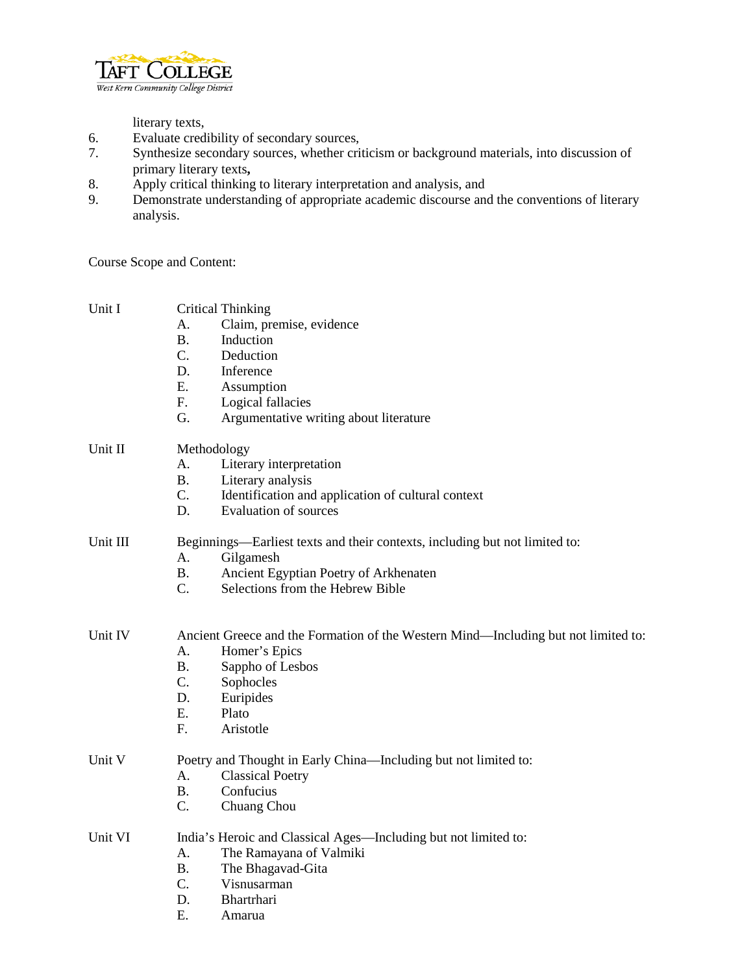

literary texts,

- 6. Evaluate credibility of secondary sources,
- 7. Synthesize secondary sources, whether criticism or background materials, into discussion of primary literary texts**,**
- 8. Apply critical thinking to literary interpretation and analysis, and<br>9. Demonstrate understanding of appropriate academic discourse and
- Demonstrate understanding of appropriate academic discourse and the conventions of literary analysis.

Course Scope and Content:

| Unit I   |                                                                 | <b>Critical Thinking</b>                                                           |
|----------|-----------------------------------------------------------------|------------------------------------------------------------------------------------|
|          | А.                                                              | Claim, premise, evidence                                                           |
|          | <b>B.</b>                                                       | Induction                                                                          |
|          | C.                                                              | Deduction                                                                          |
|          | D.                                                              | Inference                                                                          |
|          | Ε.                                                              | Assumption                                                                         |
|          | F.                                                              | Logical fallacies                                                                  |
|          | G.                                                              | Argumentative writing about literature                                             |
| Unit II  | Methodology                                                     |                                                                                    |
|          | A.                                                              | Literary interpretation                                                            |
|          | <b>B.</b>                                                       | Literary analysis                                                                  |
|          | C.                                                              | Identification and application of cultural context                                 |
|          | D.                                                              | <b>Evaluation of sources</b>                                                       |
| Unit III |                                                                 | Beginnings—Earliest texts and their contexts, including but not limited to:        |
|          | A.                                                              | Gilgamesh                                                                          |
|          | <b>B.</b>                                                       | Ancient Egyptian Poetry of Arkhenaten                                              |
|          | $\overline{C}$ .                                                | Selections from the Hebrew Bible                                                   |
| Unit IV  |                                                                 | Ancient Greece and the Formation of the Western Mind—Including but not limited to: |
|          | А.                                                              | Homer's Epics                                                                      |
|          | <b>B.</b>                                                       | Sappho of Lesbos                                                                   |
|          | C.                                                              | Sophocles                                                                          |
|          | D.                                                              | Euripides                                                                          |
|          | E.                                                              | Plato                                                                              |
|          | F.                                                              | Aristotle                                                                          |
| Unit V   | Poetry and Thought in Early China-Including but not limited to: |                                                                                    |
|          | А.                                                              | <b>Classical Poetry</b>                                                            |
|          | <b>B.</b>                                                       | Confucius                                                                          |
|          | C.                                                              | Chuang Chou                                                                        |
| Unit VI  |                                                                 | India's Heroic and Classical Ages—Including but not limited to:                    |
|          | A.                                                              | The Ramayana of Valmiki                                                            |
|          | <b>B.</b>                                                       | The Bhagavad-Gita                                                                  |
|          | C.                                                              | Visnusarman                                                                        |
|          | D.                                                              | Bhartrhari                                                                         |
|          | Е.                                                              | Amarua                                                                             |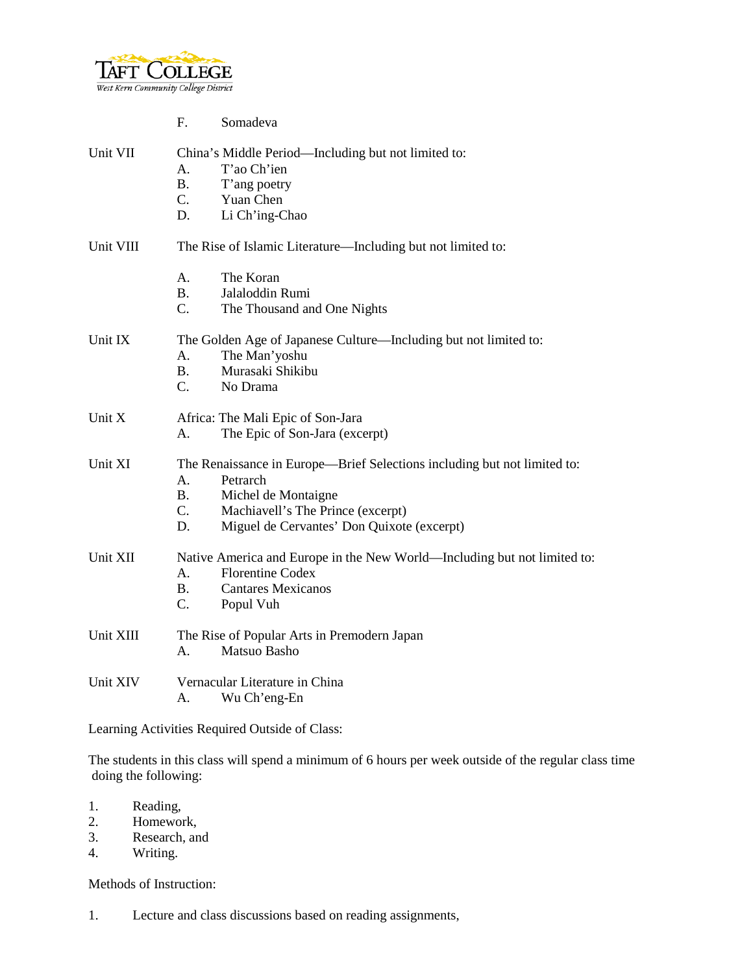

|           | Somadeva<br>F.                                                                                                                                                                                                                   |  |  |
|-----------|----------------------------------------------------------------------------------------------------------------------------------------------------------------------------------------------------------------------------------|--|--|
| Unit VII  | China's Middle Period—Including but not limited to:<br>T'ao Ch'ien<br>A.<br><b>B.</b><br>T'ang poetry<br>$C_{\cdot}$<br>Yuan Chen<br>D.<br>Li Ch'ing-Chao                                                                        |  |  |
| Unit VIII | The Rise of Islamic Literature—Including but not limited to:                                                                                                                                                                     |  |  |
|           | The Koran<br>Α.<br><b>B.</b><br>Jalaloddin Rumi<br>C.<br>The Thousand and One Nights                                                                                                                                             |  |  |
| Unit IX   | The Golden Age of Japanese Culture—Including but not limited to:<br>A.<br>The Man'yoshu<br>Murasaki Shikibu<br>B.<br>$C_{\cdot}$<br>No Drama                                                                                     |  |  |
| Unit X    | Africa: The Mali Epic of Son-Jara<br>The Epic of Son-Jara (excerpt)<br>А.                                                                                                                                                        |  |  |
| Unit XI   | The Renaissance in Europe—Brief Selections including but not limited to:<br>A.<br>Petrarch<br><b>B.</b><br>Michel de Montaigne<br>$C$ .<br>Machiavell's The Prince (excerpt)<br>Miguel de Cervantes' Don Quixote (excerpt)<br>D. |  |  |
| Unit XII  | Native America and Europe in the New World—Including but not limited to:<br><b>Florentine Codex</b><br>Α.<br><b>B.</b><br><b>Cantares Mexicanos</b><br>C.<br>Popul Vuh                                                           |  |  |
| Unit XIII | The Rise of Popular Arts in Premodern Japan<br>Matsuo Basho<br>А.                                                                                                                                                                |  |  |
| Unit XIV  | Vernacular Literature in China<br>Wu Ch'eng-En<br>А.                                                                                                                                                                             |  |  |

Learning Activities Required Outside of Class:

The students in this class will spend a minimum of 6 hours per week outside of the regular class time doing the following:

- 1. Reading,
- 2. Homework,<br>3. Research. an
- 3. Research, and 4. Writing.
- Writing.

Methods of Instruction:

1. Lecture and class discussions based on reading assignments,